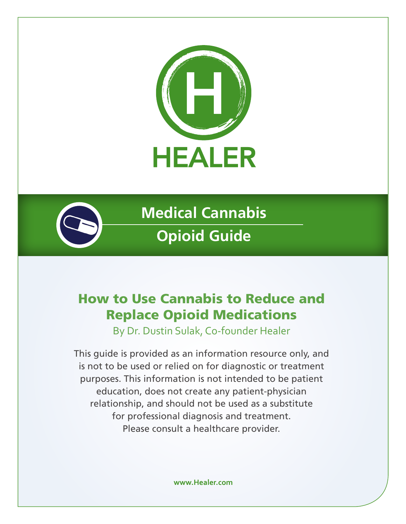



**Medical Cannabis Opioid Guide**

# How to Use Cannabis to Reduce and Replace Opioid Medications

By Dr. Dustin Sulak, Co-founder Healer

This guide is provided as an information resource only, and is not to be used or relied on for diagnostic or treatment purposes. This information is not intended to be patient education, does not create any patient-physician relationship, and should not be used as a substitute for professional diagnosis and treatment. Please consult a healthcare provider.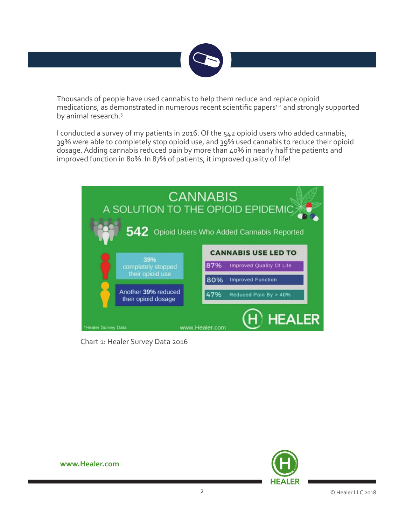

Thousands of people have used cannabis to help them reduce and replace opioid medications, as demonstrated in numerous recent scientific papers<sup>14</sup> and strongly supported by animal research.<sup>5</sup>

I conducted a survey of my patients in 2016. Of the 542 opioid users who added cannabis, 39% were able to completely stop opioid use, and 39% used cannabis to reduce their opioid dosage. Adding cannabis reduced pain by more than 40% in nearly half the patients and improved function in 80%. In 87% of patients, it improved quality of life!



Chart 1: Healer Survey Data 2016

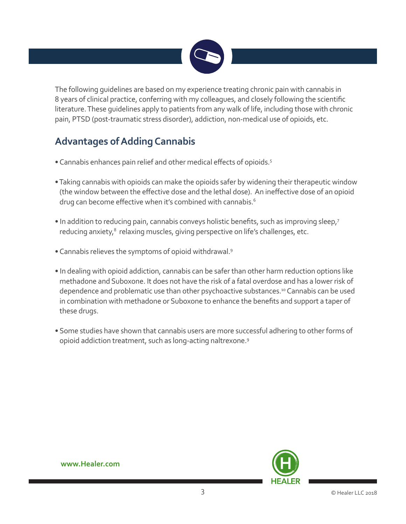

The following guidelines are based on my experience treating chronic pain with cannabis in 8 years of clinical practice, conferring with my colleagues, and closely following the scientific literature. These guidelines apply to patients from any walk of life, including those with chronic pain, PTSD (post-traumatic stress disorder), addiction, non-medical use of opioids, etc.

## **Advantages of Adding Cannabis**

- Cannabis enhances pain relief and other medical effects of opioids.<sup>5</sup>
- Taking cannabis with opioids can make the opioids safer by widening their therapeutic window (the window between the effective dose and the lethal dose). An ineffective dose of an opioid drug can become effective when it's combined with cannabis.<sup>6</sup>
- In addition to reducing pain, cannabis conveys holistic benefits, such as improving sleep,<sup>7</sup> reducing anxiety,<sup>8</sup> relaxing muscles, giving perspective on life's challenges, etc.
- Cannabis relieves the symptoms of opioid withdrawal.9
- In dealing with opioid addiction, cannabis can be safer than other harm reduction options like methadone and Suboxone. It does not have the risk of a fatal overdose and has a lower risk of dependence and problematic use than other psychoactive substances.<sup>10</sup> Cannabis can be used in combination with methadone or Suboxone to enhance the benefits and support a taper of these drugs.
- Some studies have shown that cannabis users are more successful adhering to other forms of opioid addiction treatment, such as long-acting naltrexone.9

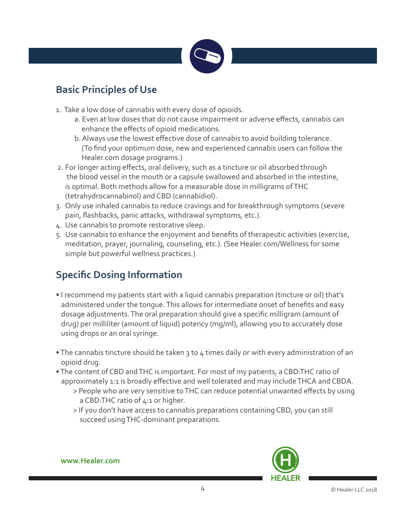

### **Basic Principles of Use**

- 1. Take a low dose of cannabis with every dose of opioids.
	- a. Even at low doses that do not cause impairment or adverse effects, cannabis can enhance the effects of opioid medications.
	- b. Always use the lowest effective dose of cannabis to avoid building tolerance. (To find your optimum dose, new and experienced cannabis users can follow the Healer.com dosage programs.)
- 2. For longer acting effects, oral delivery, such as a tincture or oil absorbed through the blood vessel in the mouth or a capsule swallowed and absorbed in the intestine, is optimal. Both methods allow for a measurable dose in milligrams of THC (tetrahydrocannabinol) and CBD (cannabidiol).
- 3. Only use inhaled cannabis to reduce cravings and for breakthrough symptoms (severe pain, flashbacks, panic attacks, withdrawal symptoms, etc.).
- 4. Use cannabis to promote restorative sleep.
- 5. Use cannabis to enhance the enjoyment and benefits of therapeutic activities (exercise, meditation, prayer, journaling, counseling, etc.). (See Healer.com/Wellness for some simple but powerful wellness practices.)

## **Specific Dosing Information**

- I recommend my patients start with a liquid cannabis preparation (tincture or oil) that's administered under the tongue. This allows for intermediate onset of benefits and easy dosage adjustments. The oral preparation should give a specific milligram (amount of drug) per milliliter (amount of liquid) potency (mg/ml), allowing you to accurately dose using drops or an oral syringe.
- The cannabis tincture should be taken 3 to 4 times daily or with every administration of an opioid drug.
- The content of CBD and THC is important. For most of my patients, a CBD:THC ratio of approximately 1:1 is broadly effective and well tolerated and may include THCA and CBDA.
	- > People who are very sensitive to THC can reduce potential unwanted effects by using a CBD:THC ratio of 4:1 or higher.
	- > If you don't have access to cannabis preparations containing CBD, you can still succeed using THC-dominant preparations.

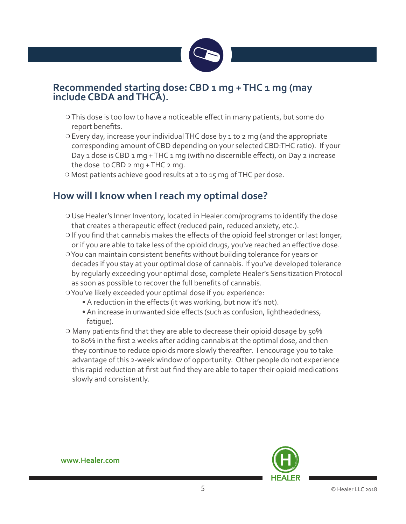

#### **Recommended starting dose: CBD 1 mg + THC 1 mg (may include CBDA and THCA).**

- <sup>m</sup> This dose is too low to have a noticeable effect in many patients, but some do report benefits.
- <sup>m</sup> Every day, increase your individual THC dose by 1 to 2 mg (and the appropriate corresponding amount of CBD depending on your selected CBD:THC ratio). If your Day 1 dose is CBD 1 mg + THC 1 mg (with no discernible effect), on Day 2 increase the dose to CBD 2 mg + THC 2 mg.
- o Most patients achieve good results at 2 to 15 mg of THC per dose.

#### **How will I know when I reach my optimal dose?**

- <sup>m</sup> Use Healer's Inner Inventory, located in Healer.com/programs to identify the dose that creates a therapeutic effect (reduced pain, reduced anxiety, etc.).
- $\circ$  If you find that cannabis makes the effects of the opioid feel stronger or last longer, or if you are able to take less of the opioid drugs, you've reached an effective dose.
- **OYou can maintain consistent benefits without building tolerance for years or** decades if you stay at your optimal dose of cannabis. If you've developed tolerance by regularly exceeding your optimal dose, complete Healer's Sensitization Protocol as soon as possible to recover the full benefits of cannabis.
- o You've likely exceeded your optimal dose if you experience:
	- A reduction in the effects (it was working, but now it's not).
	- An increase in unwanted side effects (such as confusion, lightheadedness, fatigue).
- o Many patients find that they are able to decrease their opioid dosage by 50% to 80% in the first 2 weeks after adding cannabis at the optimal dose, and then they continue to reduce opioids more slowly thereafter. I encourage you to take advantage of this 2-week window of opportunity. Other people do not experience this rapid reduction at first but find they are able to taper their opioid medications slowly and consistently.

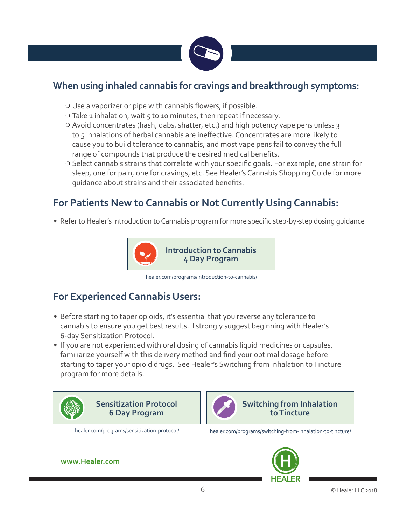

#### **When using inhaled cannabis for cravings and breakthrough symptoms:**

- $\circ$  Use a vaporizer or pipe with cannabis flowers, if possible.
- $\circ$  Take 1 inhalation, wait 5 to 10 minutes, then repeat if necessary.
- O Avoid concentrates (hash, dabs, shatter, etc.) and high potency vape pens unless 3 to 5 inhalations of herbal cannabis are ineffective. Concentrates are more likely to cause you to build tolerance to cannabis, and most vape pens fail to convey the full range of compounds that produce the desired medical benefits.
- o Select cannabis strains that correlate with your specific goals. For example, one strain for sleep, one for pain, one for cravings, etc. See Healer's Cannabis Shopping Guide for more guidance about strains and their associated benefits.

### **For Patients New to Cannabis or Not Currently Using Cannabis:**

• Refer to Healer's Introduction to Cannabis program for more specific step-by-step dosing guidance



healer.com/programs/introduction-to-cannabis/

#### **For Experienced Cannabis Users:**

- Before starting to taper opioids, it's essential that you reverse any tolerance to cannabis to ensure you get best results. I strongly suggest beginning with Healer's 6-day Sensitization Protocol.
- If you are not experienced with oral dosing of cannabis liquid medicines or capsules, familiarize yourself with this delivery method and find your optimal dosage before starting to taper your opioid drugs. See Healer's Switching from Inhalation to Tincture program for more details.





**Switching from Inhalation to Tincture**

healer.com/programs/sensitization-protocol/ healer.com/programs/switching-from-inhalation-to-tincture/

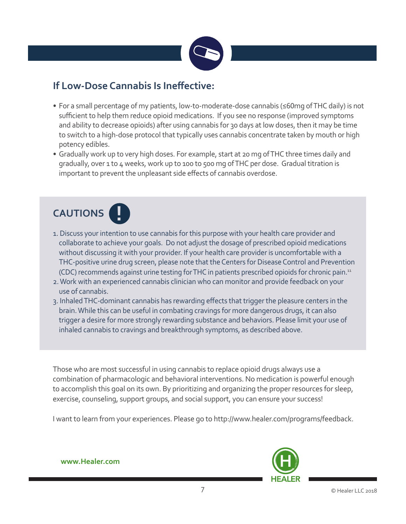

#### **If Low-Dose Cannabis Is Ineffective:**

- For a small percentage of my patients, low-to-moderate-dose cannabis (≤60mg of THC daily) is not sufficient to help them reduce opioid medications. If you see no response (improved symptoms and ability to decrease opioids) after using cannabis for 30 days at low doses, then it may be time to switch to a high-dose protocol that typically uses cannabis concentrate taken by mouth or high potency edibles.
- Gradually work up to very high doses. For example, start at 20 mg of THC three times daily and gradually, over 1 to 4 weeks, work up to 100 to 500 mg of THC per dose. Gradual titration is important to prevent the unpleasant side effects of cannabis overdose.



- 1. Discuss your intention to use cannabis for this purpose with your health care provider and collaborate to achieve your goals. Do not adjust the dosage of prescribed opioid medications without discussing it with your provider. If your health care provider is uncomfortable with a THC-positive urine drug screen, please note that the Centers for Disease Control and Prevention (CDC) recommends against urine testing for THC in patients prescribed opioids for chronic pain.11
- 2. Work with an experienced cannabis clinician who can monitor and provide feedback on your use of cannabis.
- 3. Inhaled THC-dominant cannabis has rewarding effects that trigger the pleasure centers in the brain. While this can be useful in combating cravings for more dangerous drugs, it can also trigger a desire for more strongly rewarding substance and behaviors. Please limit your use of inhaled cannabis to cravings and breakthrough symptoms, as described above.

Those who are most successful in using cannabis to replace opioid drugs always use a combination of pharmacologic and behavioral interventions. No medication is powerful enough to accomplish this goal on its own. By prioritizing and organizing the proper resources for sleep, exercise, counseling, support groups, and social support, you can ensure your success!

I want to learn from your experiences. Please go to http://www.healer.com/programs/feedback.